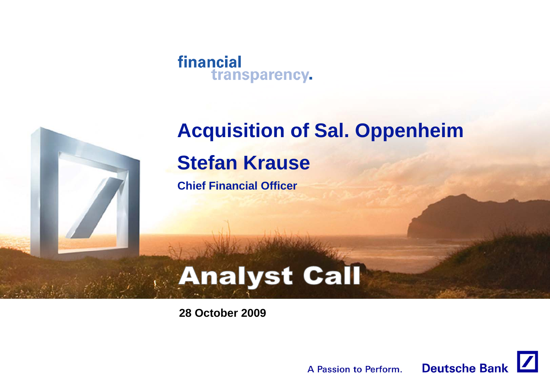



# **Acquisition of Sal. Oppenheim Stefan Krause**

**Chief Financial Officer**

# **Analyst Call**

**28 October 2009**

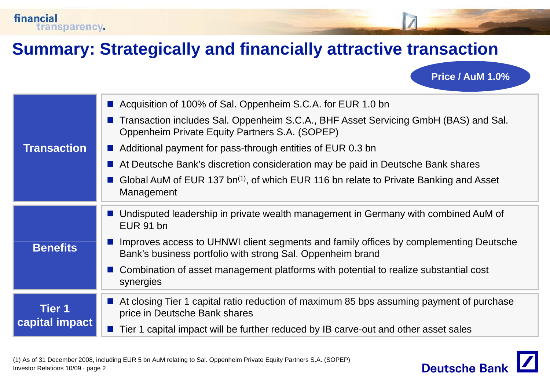

**Price / AuM 1.0%**

|                    | ■ Acquisition of 100% of Sal. Oppenheim S.C.A. for EUR 1.0 bn                                                                                       |
|--------------------|-----------------------------------------------------------------------------------------------------------------------------------------------------|
|                    | Transaction includes Sal. Oppenheim S.C.A., BHF Asset Servicing GmbH (BAS) and Sal.<br>Oppenheim Private Equity Partners S.A. (SOPEP)               |
| <b>Transaction</b> | ■ Additional payment for pass-through entities of EUR 0.3 bn                                                                                        |
|                    | At Deutsche Bank's discretion consideration may be paid in Deutsche Bank shares                                                                     |
|                    | Global AuM of EUR 137 bn <sup>(1)</sup> , of which EUR 116 bn relate to Private Banking and Asset<br>Management                                     |
|                    | ■ Undisputed leadership in private wealth management in Germany with combined AuM of<br>EUR 91 bn                                                   |
| <b>Benefits</b>    | Improves access to UHNWI client segments and family offices by complementing Deutsche<br>Bank's business portfolio with strong Sal. Oppenheim brand |
|                    | ■ Combination of asset management platforms with potential to realize substantial cost<br>synergies                                                 |
| Tier 1             | ■ At closing Tier 1 capital ratio reduction of maximum 85 bps assuming payment of purchase<br>price in Deutsche Bank shares                         |
| capital impact     | ■ Tier 1 capital impact will be further reduced by IB carve-out and other asset sales                                                               |
|                    |                                                                                                                                                     |

financial

transparency.

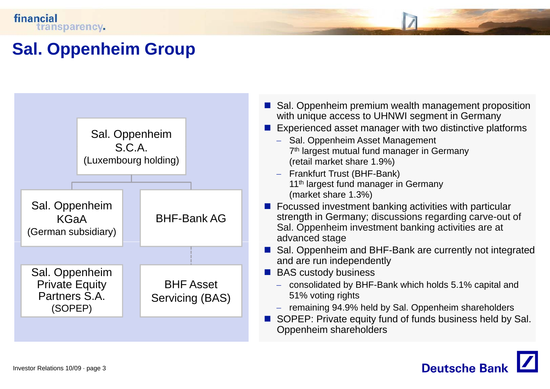## **Sal. Oppenheim Group**



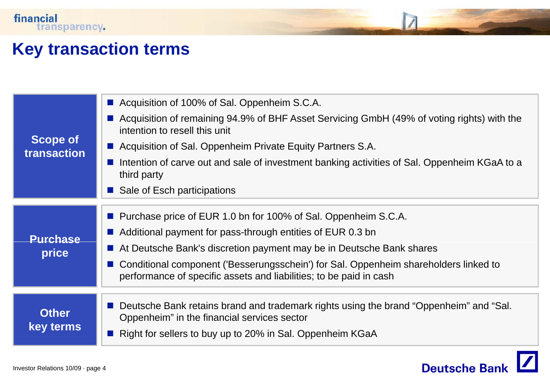#### **Key transaction terms**

|                                | ■ Acquisition of 100% of Sal. Oppenheim S.C.A.<br>Acquisition of remaining 94.9% of BHF Asset Servicing GmbH (49% of voting rights) with the<br>intention to resell this unit                      |
|--------------------------------|----------------------------------------------------------------------------------------------------------------------------------------------------------------------------------------------------|
| <b>Scope of</b><br>transaction | ■ Acquisition of Sal. Oppenheim Private Equity Partners S.A.                                                                                                                                       |
|                                | Intention of carve out and sale of investment banking activities of Sal. Oppenheim KGaA to a<br><b>The Co</b><br>third party                                                                       |
|                                | Sale of Esch participations                                                                                                                                                                        |
|                                | ■ Purchase price of EUR 1.0 bn for 100% of Sal. Oppenheim S.C.A.<br>Additional payment for pass-through entities of EUR 0.3 bn                                                                     |
| <b>Purchase</b>                | At Deutsche Bank's discretion payment may be in Deutsche Bank shares                                                                                                                               |
| price                          | Conditional component ('Besserungsschein') for Sal. Oppenheim shareholders linked to<br>performance of specific assets and liabilities; to be paid in cash                                         |
| <b>Other</b><br>key terms      | Deutsche Bank retains brand and trademark rights using the brand "Oppenheim" and "Sal.<br>Oppenheim" in the financial services sector<br>Right for sellers to buy up to 20% in Sal. Oppenheim KGaA |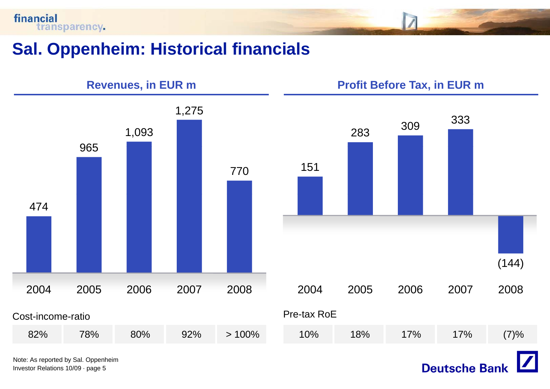financial transparency.

### **Sal. Oppenheim: Historical financials**



Investor Relations 10/09 · page 5

**Deutsche Bank**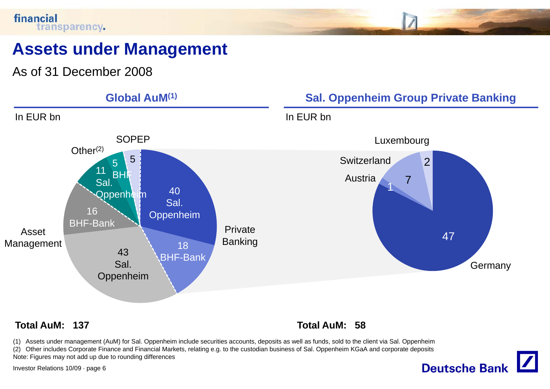#### financial transparency.

## **Assets under Management**

As of 31 December 2008



#### **Total AuM: 137 Total AuM: 58**

(1) Assets under management (AuM) for Sal. Oppenheim include securities accounts, deposits as well as funds, sold to the client via Sal. Oppenheim (2) Other includes Corporate Finance and Financial Markets, relating e.g. to the custodian business of Sal. Oppenheim KGaA and corporate deposits

Note: Figures may not add up due to rounding differences

Investor Relations 10/09 · page 6

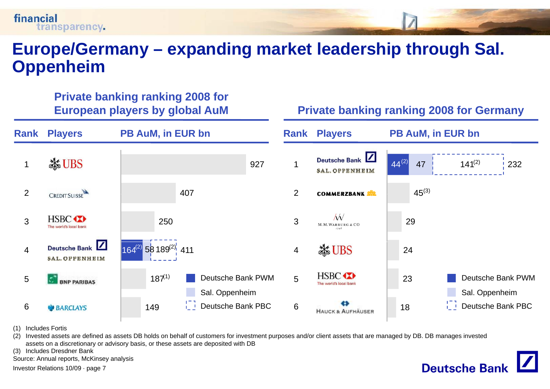#### **Europe/Germany – expanding market leadership through Sal Sal. Oppenheim**

**RankPB AuM, in EUR bn Rank** Players **PB AuM, in EUR bn** Deutsche Bank 44<sup>(2)</sup> **X UBS**  $4^{(2)}$  47 141<sup>(2)</sup> 232 9271 1 **SAL. OPPENHEIM** 2 $45^{(3)}$ **CREDIT SUISSE** 407 $\mathfrak{D}$ **COMMERZBANK** W **HSBC** 3250329M.M. WARBURG & CO The world's local bank Deutsche Bank 164<sup>(2)</sup> 58 189<sup>(2)</sup>: 411 **Ske UBS** 4244**SAL. OPPENHEIM HSBC**  $187^{(1)}$ Deutsche Bank PWMDeutsche Bank PWM5523**BNP PARIBAS** The world's local ban Sal. Oppenheim Sal. Oppenheim Deutsche Bank PBC g i\_\_! Deutsche Bank PBC 6 186**BARCLAYS** 149 **HAUCK & AUFHÄUSER** 

(1) Includes Fortis

financial

transparency.

(2) Invested assets are defined as assets DB holds on behalf of customers for investment purposes and/or client assets that are managed by DB. DB manages invested assets on a discretionary or advisory basis, or these assets are deposited with DB

(3) Includes Dresdner Bank

Source: Annual reports, McKinsey analysis

**Private banking ranking 2008 for**

Investor Relations 10/09 · page 7

#### **European players by global AuM Private banking ranking 2008 for Germany**

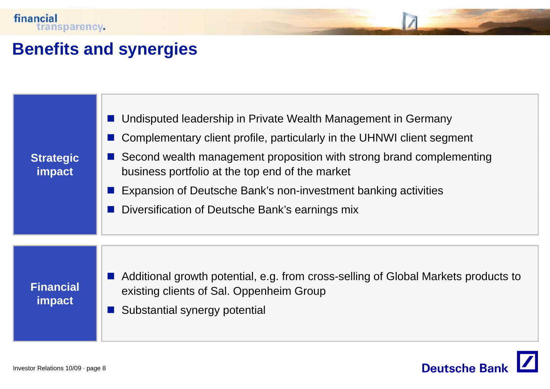### **Benefits and synergies**

| <b>Strategic</b><br>impact        | Undisputed leadership in Private Wealth Management in Germany<br>Complementary client profile, particularly in the UHNWI client segment<br>Second wealth management proposition with strong brand complementing<br>business portfolio at the top end of the market<br>Expansion of Deutsche Bank's non-investment banking activities<br>Diversification of Deutsche Bank's earnings mix |
|-----------------------------------|-----------------------------------------------------------------------------------------------------------------------------------------------------------------------------------------------------------------------------------------------------------------------------------------------------------------------------------------------------------------------------------------|
| <b>Financial</b><br><b>impact</b> | ■ Additional growth potential, e.g. from cross-selling of Global Markets products to<br>existing clients of Sal. Oppenheim Group<br>Substantial synergy potential                                                                                                                                                                                                                       |

Deutsche Bank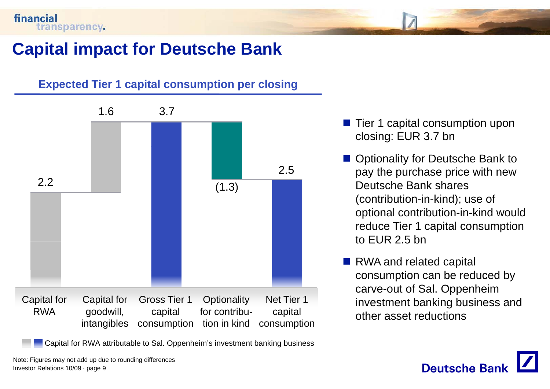## **Capital impact for Deutsche Bank**

#### **Expected Tier 1 capital consumption per closing**



- $\mathbb{R}^3$  Tier 1 capital consumption upon closing: EUR 3.7 bn
- Optionality for Deutsche Bank to pay the purchase price with new (contribution-in-kind); use of optional contribution-in-kind would reduce Tier 1 capital consumption to EUR 2.5 bn
- RWA and related capital consumption can be reduced by carve-out of Sal Oppenheim investment banking business and other asset reductions



Investor Relations 10/09 · page 9 Note: Figures may not add up due to rounding differences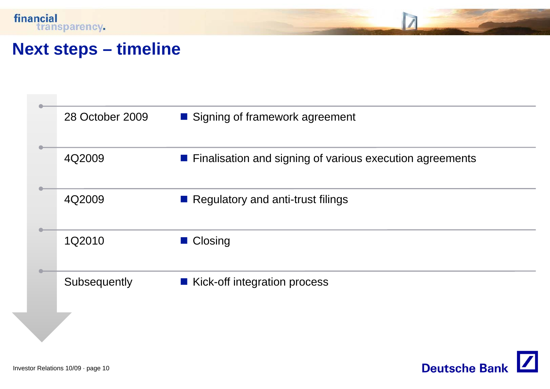

#### **Next steps – timeline**

| 28 October 2009 | ■ Signing of framework agreement                           |
|-----------------|------------------------------------------------------------|
| 4Q2009          | ■ Finalisation and signing of various execution agreements |
| 4Q2009          | Regulatory and anti-trust filings                          |
| 1Q2010          | ■ Closing                                                  |
| Subsequently    | ■ Kick-off integration process                             |
|                 |                                                            |

Deutsche Bank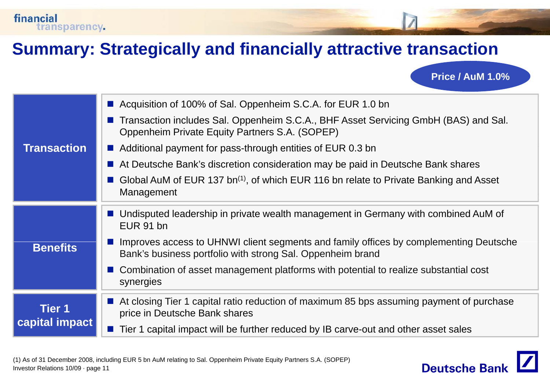

**Price / AuM 1.0%**

|                    | ■ Acquisition of 100% of Sal. Oppenheim S.C.A. for EUR 1.0 bn                                                                                       |
|--------------------|-----------------------------------------------------------------------------------------------------------------------------------------------------|
|                    | Transaction includes Sal. Oppenheim S.C.A., BHF Asset Servicing GmbH (BAS) and Sal.<br>Oppenheim Private Equity Partners S.A. (SOPEP)               |
| <b>Transaction</b> | $\blacksquare$ Additional payment for pass-through entities of EUR 0.3 bn                                                                           |
|                    | At Deutsche Bank's discretion consideration may be paid in Deutsche Bank shares                                                                     |
|                    | Global AuM of EUR 137 bn <sup>(1)</sup> , of which EUR 116 bn relate to Private Banking and Asset<br>Management                                     |
|                    | ■ Undisputed leadership in private wealth management in Germany with combined AuM of<br>EUR 91 bn                                                   |
| <b>Benefits</b>    | Improves access to UHNWI client segments and family offices by complementing Deutsche<br>Bank's business portfolio with strong Sal. Oppenheim brand |
|                    | ■ Combination of asset management platforms with potential to realize substantial cost<br>synergies                                                 |
| <b>Tier 1</b>      | ■ At closing Tier 1 capital ratio reduction of maximum 85 bps assuming payment of purchase<br>price in Deutsche Bank shares                         |
| capital impact     | Tier 1 capital impact will be further reduced by IB carve-out and other asset sales                                                                 |
|                    |                                                                                                                                                     |

financial

transparency.